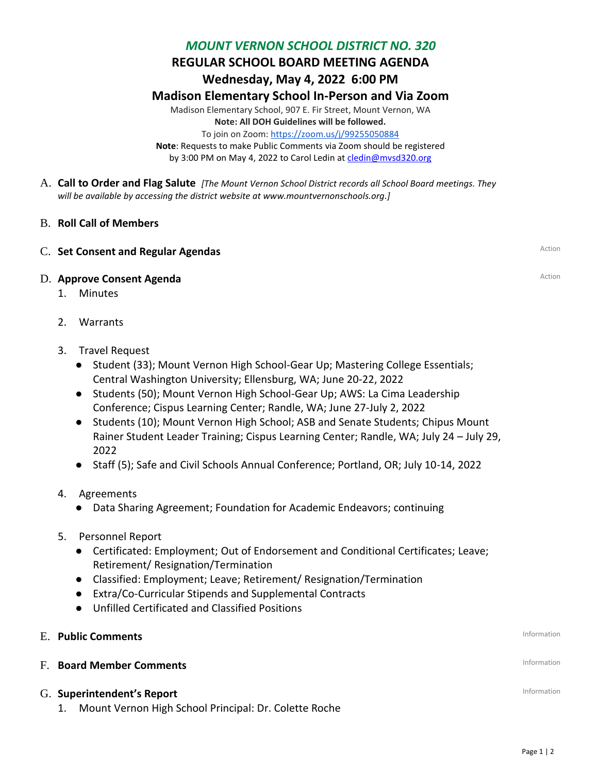## *MOUNT VERNON SCHOOL DISTRICT NO. 320*

**REGULAR SCHOOL BOARD MEETING AGENDA**

**Wednesday, May 4, 2022 6:00 PM**

## **Madison Elementary School In-Person and Via Zoom**

Madison Elementary School, 907 E. Fir Street, Mount Vernon, WA **Note: All DOH Guidelines will be followed.** To join on Zoom:<https://zoom.us/j/99255050884> **Note**: Requests to make Public Comments via Zoom should be registered

by 3:00 PM on May 4, 2022 to Carol Ledin at [cledin@mvsd320.org](mailto:cledin@mvsd320.org)

- A. **Call to Order and Flag Salute** *[The Mount Vernon School District records all School Board meetings. They will be available by accessing the district website at www.mountvernonschools.org.]*
- B. **Roll Call of Members**
- C. Set Consent and Regular Agendas **Action** 2012 12:30 and 2013 12:40 and 2013 12:40 and 2013 12:40 and 2013 12:50 and 2013 12:50 and 2013 12:50 and 2013 12:50 and 2013 12:50 and 2013 12:50 and 2013 12:50 and 2013 12:50 an

## **D. Approve Consent Agenda** Action

- 1. Minutes
- 2. Warrants
- 3. Travel Request
	- Student (33); Mount Vernon High School-Gear Up; Mastering College Essentials; Central Washington University; Ellensburg, WA; June 20-22, 2022
	- Students (50); Mount Vernon High School-Gear Up; AWS: La Cima Leadership Conference; Cispus Learning Center; Randle, WA; June 27-July 2, 2022
	- Students (10); Mount Vernon High School; ASB and Senate Students; Chipus Mount Rainer Student Leader Training; Cispus Learning Center; Randle, WA; July 24 – July 29, 2022
	- Staff (5); Safe and Civil Schools Annual Conference; Portland, OR; July 10-14, 2022
- 4. Agreements
	- Data Sharing Agreement; Foundation for Academic Endeavors; continuing
- 5. Personnel Report
	- Certificated: Employment; Out of Endorsement and Conditional Certificates; Leave; Retirement/ Resignation/Termination
	- Classified: Employment; Leave; Retirement/ Resignation/Termination
	- Extra/Co-Curricular Stipends and Supplemental Contracts
	- Unfilled Certificated and Classified Positions

| E. Public Comments                                                                  | Information |
|-------------------------------------------------------------------------------------|-------------|
| F. Board Member Comments                                                            | Information |
| G. Superintendent's Report<br>Mount Vernon High School Principal: Dr. Colette Roche | Information |